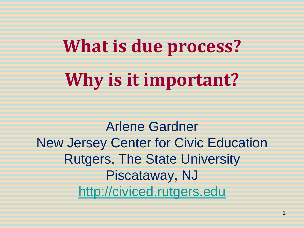# **What is due process? Why is it important?**

Arlene Gardner New Jersey Center for Civic Education Rutgers, The State University Piscataway, NJ [http://civiced.rutgers.edu](http://civiced.rutgers.edu/)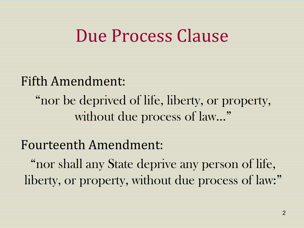### Due Process Clause

#### Fifth Amendment:

"nor be deprived of life, liberty, or property, without due process of law..."

#### Fourteenth Amendment:

"nor shall any State deprive any person of life, liberty, or property, without due process of law:"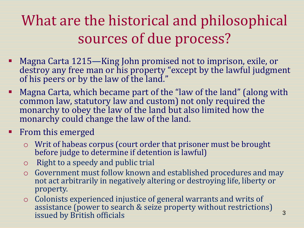#### What are the historical and philosophical sources of due process?

- Magna Carta 1215—King John promised not to imprison, exile, or destroy any free man or his property "except by the lawful judgment of his peers or by the law of the land."
- Magna Carta, which became part of the "law of the land" (along with common law, statutory law and custom) not only required the monarchy to obey the law of the land but also limited how the monarchy could change the law of the land.
- **Fig. 5 From this emerged** 
	- o Writ of habeas corpus (court order that prisoner must be brought before judge to determine if detention is lawful)
	- o Right to a speedy and public trial
	- o Government must follow known and established procedures and may not act arbitrarily in negatively altering or destroying life, liberty or property.
	- o Colonists experienced injustice of general warrants and writs of assistance (power to search & seize property without restrictions) issued by British officials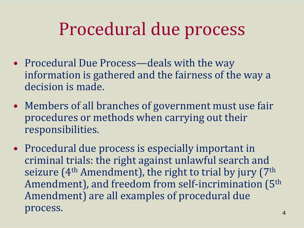# Procedural due process

- Procedural Due Process—deals with the way information is gathered and the fairness of the way a decision is made.
- Members of all branches of government must use fair procedures or methods when carrying out their responsibilities.
- Procedural due process is especially important in criminal trials: the right against unlawful search and seizure (4<sup>th</sup> Amendment), the right to trial by jury (7<sup>th</sup> Amendment), and freedom from self-incrimination (5th Amendment) are all examples of procedural due process.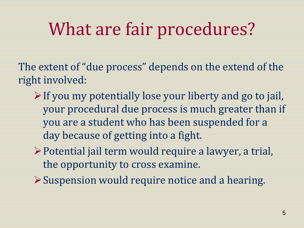# What are fair procedures?

The extent of "due process" depends on the extend of the right involved:

- $\triangleright$  If you my potentially lose your liberty and go to jail, your procedural due process is much greater than if you are a student who has been suspended for a day because of getting into a fight.
- Potential jail term would require a lawyer, a trial, the opportunity to cross examine.
- Suspension would require notice and a hearing.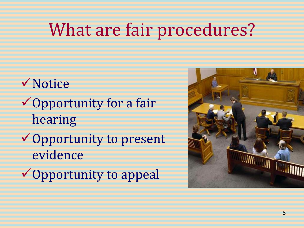# What are fair procedures?

- **√Notice**  $\checkmark$  Opportunity for a fair hearing **✓ Opportunity to present** evidence
- **✓ Opportunity to appeal**

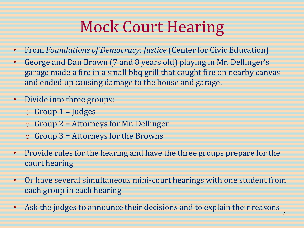## Mock Court Hearing

- From *Foundations of Democracy: Justice* (Center for Civic Education)
- George and Dan Brown (7 and 8 years old) playing in Mr. Dellinger's garage made a fire in a small bbq grill that caught fire on nearby canvas and ended up causing damage to the house and garage.
- Divide into three groups:
	- $\circ$  Group 1 = Judges
	- $\circ$  Group 2 = Attorneys for Mr. Dellinger
	- $\circ$  Group 3 = Attorneys for the Browns
- Provide rules for the hearing and have the three groups prepare for the court hearing
- Or have several simultaneous mini-court hearings with one student from each group in each hearing
- Ask the judges to announce their decisions and to explain their reasons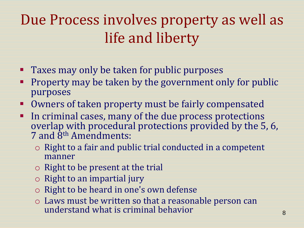### Due Process involves property as well as life and liberty

- **Taxes may only be taken for public purposes**
- Property may be taken by the government only for public purposes
- **Owners of taken property must be fairly compensated**
- In criminal cases, many of the due process protections overlap with procedural protections provided by the 5, 6, 7 and 8<sup>th</sup> Amendments:
	- o Right to a fair and public trial conducted in a competent manner
	- $\circ$  Right to be present at the trial
	- o Right to an impartial jury
	- o Right to be heard in one's own defense
	- o Laws must be written so that a reasonable person can understand what is criminal behavior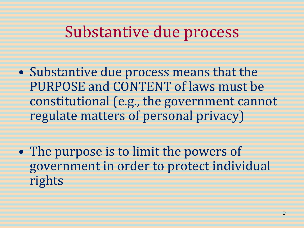#### Substantive due process

- Substantive due process means that the PURPOSE and CONTENT of laws must be constitutional (e.g., the government cannot regulate matters of personal privacy)
- The purpose is to limit the powers of government in order to protect individual rights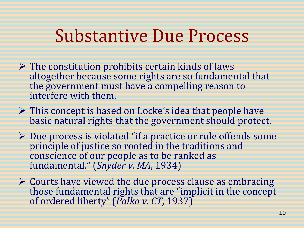### Substantive Due Process

- $\triangleright$  The constitution prohibits certain kinds of laws altogether because some rights are so fundamental that the government must have a compelling reason to interfere with them.
- $\triangleright$  This concept is based on Locke's idea that people have basic natural rights that the government should protect.
- $\triangleright$  Due process is violated "if a practice or rule offends some principle of justice so rooted in the traditions and conscience of our people as to be ranked as fundamental." (*Snyder v. MA*, 1934)
- Courts have viewed the due process clause as embracing those fundamental rights that are "implicit in the concept of ordered liberty" (*Palko v. CT*, 1937)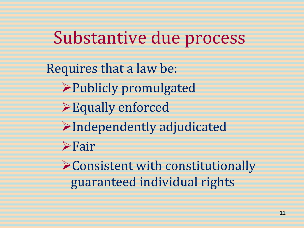Substantive due process

Requires that a law be: Publicly promulgated Equally enforced Independently adjudicated Fair Consistent with constitutionally guaranteed individual rights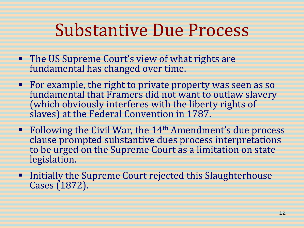# Substantive Due Process

- The US Supreme Court's view of what rights are fundamental has changed over time.
- For example, the right to private property was seen as so fundamental that Framers did not want to outlaw slavery (which obviously interferes with the liberty rights of slaves) at the Federal Convention in 1787.
- Following the Civil War, the  $14<sup>th</sup>$  Amendment's due process clause prompted substantive dues process interpretations to be urged on the Supreme Court as a limitation on state legislation.
- **Example 11 Initially the Supreme Court rejected this Slaughterhouse** Cases (1872).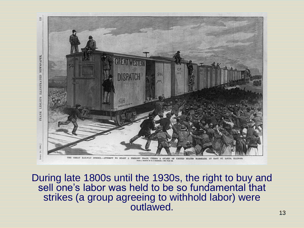

During late 1800s until the 1930s, the right to buy and sell one's labor was held to be so fundamental that strikes (a group agreeing to withhold labor) were outlawed.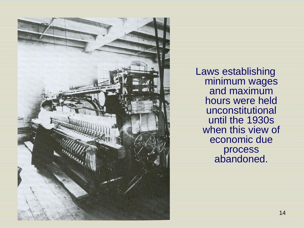

Laws establishing minimum wages and maximum hours were held unconstitutional until the 1930s when this view of economic due process abandoned.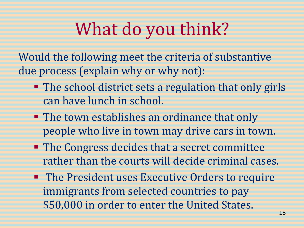# What do you think?

Would the following meet the criteria of substantive due process (explain why or why not):

- The school district sets a regulation that only girls can have lunch in school.
- **The town establishes an ordinance that only** people who live in town may drive cars in town.
- **The Congress decides that a secret committee** rather than the courts will decide criminal cases.
- **The President uses Executive Orders to require** immigrants from selected countries to pay \$50,000 in order to enter the United States.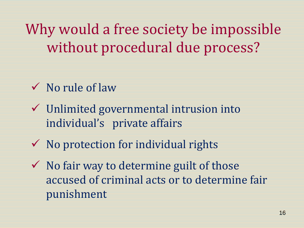Why would a free society be impossible without procedural due process?

- $\checkmark$  No rule of law
- $\checkmark$  Unlimited governmental intrusion into individual's private affairs
- $\checkmark$  No protection for individual rights
- $\checkmark$  No fair way to determine guilt of those accused of criminal acts or to determine fair punishment